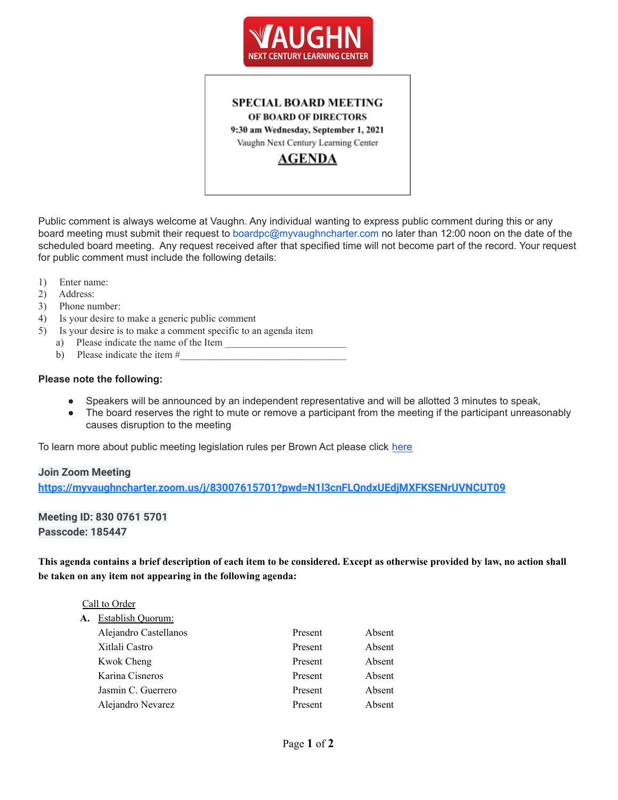

# **SPECIAL BOARD MEETING** OF BOARD OF DIRECTORS 9:30 am Wednesday, September 1, 2021 Vaughn Next Century Learning Center

**AGENDA** 

Public comment is always welcome at Vaughn. Any individual wanting to express public comment during this or any board meeting must submit their request to boardpc@myvaughncharter.com no later than 12:00 noon on the date of the scheduled board meeting. Any request received after that specified time will not become part of the record. Your request for public comment must include the following details:

- 1) Enter name:
- 2) Address:
- 3) Phone number:
- 4) Is your desire to make a generic public comment
- 5) Is your desire is to make a comment specific to an agenda item
	- a) Please indicate the name of the Item
	- b) Please indicate the item  $#_2$

#### **Please note the following:**

- Speakers will be announced by an independent representative and will be allotted 3 minutes to speak,
- The board reserves the right to mute or remove a participant from the meeting if the participant unreasonably causes disruption to the meeting

To learn more about public meeting legislation rules per Brown Act please click [here](https://leginfo.legislature.ca.gov/faces/billTextClient.xhtml?bill_id=201520160AB1787)

#### **Join Zoom Meeting**

**<https://myvaughncharter.zoom.us/j/83007615701?pwd=N1l3cnFLQndxUEdjMXFKSENrUVNCUT09>**

**Meeting ID: 830 0761 5701 Passcode: 185447**

This agenda contains a brief description of each item to be considered. Except as otherwise provided by law, no action shall **be taken on any item not appearing in the following agenda:**

|  |  | Call to Order |
|--|--|---------------|
|--|--|---------------|

**A.** Establish Quorum:

| Alejandro Castellanos | Present | Absent |
|-----------------------|---------|--------|
| Xitlali Castro        | Present | Absent |
| Kwok Cheng            | Present | Absent |
| Karina Cisneros       | Present | Absent |
| Jasmin C. Guerrero    | Present | Absent |
| Alejandro Nevarez     | Present | Absent |